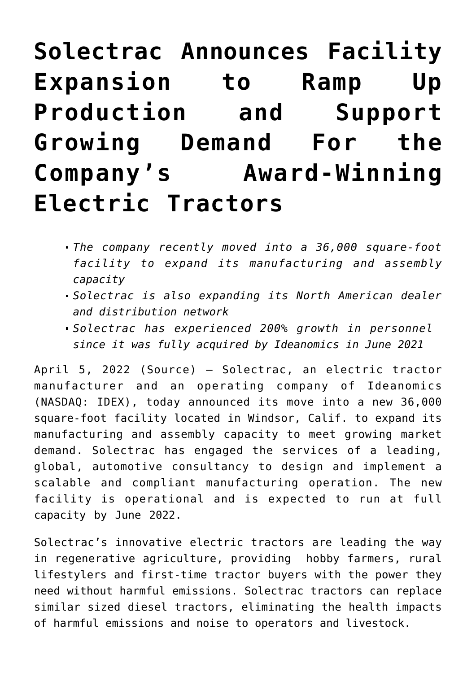# **[Solectrac Announces Facility](https://investorintel.com/markets/cleantech/cleantech-news/solectrac-announces-facility-expansion-to-ramp-up-production-and-support-growing-demand-for-the-companys-award-winning-electric-tractors/) [Expansion to Ramp Up](https://investorintel.com/markets/cleantech/cleantech-news/solectrac-announces-facility-expansion-to-ramp-up-production-and-support-growing-demand-for-the-companys-award-winning-electric-tractors/) [Production and Support](https://investorintel.com/markets/cleantech/cleantech-news/solectrac-announces-facility-expansion-to-ramp-up-production-and-support-growing-demand-for-the-companys-award-winning-electric-tractors/) [Growing Demand For the](https://investorintel.com/markets/cleantech/cleantech-news/solectrac-announces-facility-expansion-to-ramp-up-production-and-support-growing-demand-for-the-companys-award-winning-electric-tractors/) [Company's Award-Winning](https://investorintel.com/markets/cleantech/cleantech-news/solectrac-announces-facility-expansion-to-ramp-up-production-and-support-growing-demand-for-the-companys-award-winning-electric-tractors/) [Electric Tractors](https://investorintel.com/markets/cleantech/cleantech-news/solectrac-announces-facility-expansion-to-ramp-up-production-and-support-growing-demand-for-the-companys-award-winning-electric-tractors/)**

- *The company recently moved into a 36,000 square-foot facility to expand its manufacturing and assembly capacity*
- *Solectrac is also expanding its North American dealer and distribution network*
- *Solectrac has experienced 200% growth in personnel since it was fully acquired by Ideanomics in June 2021*

April 5, 2022 ([Source\)](https://www.prnewswire.com/news-releases/solectrac-announces-facility-expansion-to-ramp-up-production-and-support-growing-demand-for-the-companys-award-winning-electric-tractors-301516115.html) – [Solectrac,](https://c212.net/c/link/?t=0&l=en&o=3492295-1&h=3974729401&u=https%3A%2F%2Fsolectrac.com%2F&a=Solectrac) an electric tractor manufacturer and an operating company of Ideanomics (NASDAQ: [IDEX\)](https://www.prnewswire.com/news-releases/solectrac-announces-facility-expansion-to-ramp-up-production-and-support-growing-demand-for-the-companys-award-winning-electric-tractors-301516115.html#financial-modal), today announced its move into a new 36,000 square-foot facility located in Windsor, Calif. to expand its manufacturing and assembly capacity to meet growing market demand. Solectrac has engaged the services of a leading, global, automotive consultancy to design and implement a scalable and compliant manufacturing operation. The new facility is operational and is expected to run at full capacity by June 2022.

Solectrac's innovative electric tractors are leading the way in regenerative agriculture, providing hobby farmers, rural lifestylers and first-time tractor buyers with the power they need without harmful emissions. Solectrac tractors can replace similar sized diesel tractors, eliminating the health impacts of harmful emissions and noise to operators and livestock.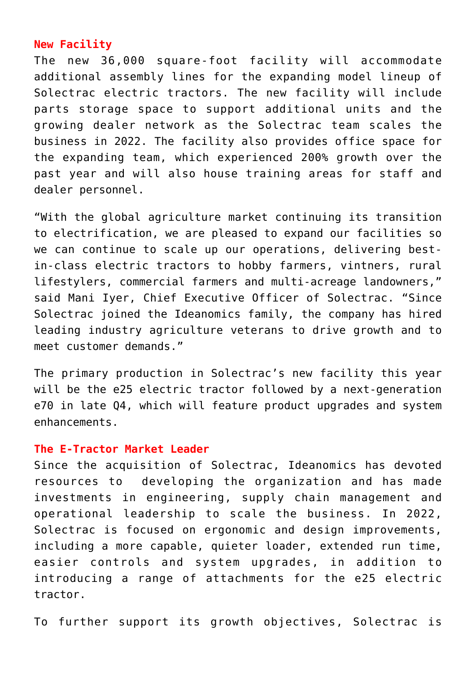# **New Facility**

The new 36,000 square-foot facility will accommodate additional assembly lines for the expanding model lineup of Solectrac electric tractors. The new facility will include parts storage space to support additional units and the growing dealer network as the Solectrac team scales the business in 2022. The facility also provides office space for the expanding team, which experienced 200% growth over the past year and will also house training areas for staff and dealer personnel.

"With the global agriculture market continuing its transition to electrification, we are pleased to expand our facilities so we can continue to scale up our operations, delivering bestin-class electric tractors to hobby farmers, vintners, rural lifestylers, commercial farmers and multi-acreage landowners," said Mani Iyer, Chief Executive Officer of Solectrac. "Since Solectrac joined the Ideanomics family, the company has hired leading industry agriculture veterans to drive growth and to meet customer demands."

The primary production in Solectrac's new facility this year will be the e25 electric tractor followed by a next-generation e70 in late Q4, which will feature product upgrades and system enhancements.

### **The E-Tractor Market Leader**

Since the acquisition of Solectrac, Ideanomics has devoted resources to developing the organization and has made investments in engineering, supply chain management and operational leadership to scale the business. In 2022, Solectrac is focused on ergonomic and design improvements, including a more capable, quieter loader, extended run time, easier controls and system upgrades, in addition to introducing a range of attachments for the e25 electric tractor.

To further support its growth objectives, [Solectrac is](https://c212.net/c/link/?t=0&l=en&o=3492295-1&h=1381200848&u=https%3A%2F%2Finvestors.ideanomics.com%2F2022-03-31-Solectrac-Announces-Certified-Dealer-in-Washington-and-Oregon-to-Service-and-Support-Customers-in-the-Pacific-Northwest&a=Solectrac+is+developing+its+North+American+dealer+and+distribution+network)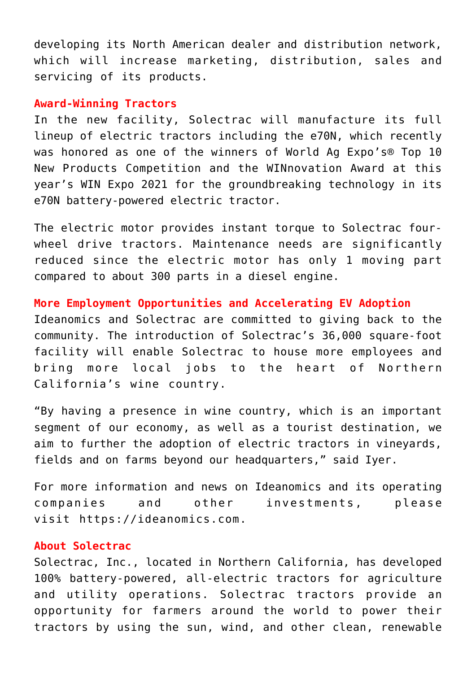[developing its North American dealer and distribution network,](https://c212.net/c/link/?t=0&l=en&o=3492295-1&h=1381200848&u=https%3A%2F%2Finvestors.ideanomics.com%2F2022-03-31-Solectrac-Announces-Certified-Dealer-in-Washington-and-Oregon-to-Service-and-Support-Customers-in-the-Pacific-Northwest&a=Solectrac+is+developing+its+North+American+dealer+and+distribution+network) which will increase marketing, distribution, sales and servicing of its products.

#### **Award-Winning Tractors**

In the new facility, Solectrac will manufacture its full lineup of electric tractors including the e70N, which recently was honored as one of the winners of World Ag Expo's® Top 10 New Products Competition and the WINnovation Award at this year's WIN Expo 2021 for the groundbreaking technology in its e70N battery-powered electric tractor.

The electric motor provides instant torque to Solectrac fourwheel drive tractors. Maintenance needs are significantly reduced since the electric motor has only 1 moving part compared to about 300 parts in a diesel engine.

# **More Employment Opportunities and Accelerating EV Adoption**

Ideanomics and Solectrac are committed to giving back to the community. The introduction of Solectrac's 36,000 square-foot facility will enable Solectrac to house more employees and bring more local jobs to the heart of Northern California's wine country.

"By having a presence in wine country, which is an important segment of our economy, as well as a tourist destination, we aim to further the adoption of electric tractors in vineyards, fields and on farms beyond our headquarters," said Iyer.

For more information and news on Ideanomics and its operating companies and other investments, please visit [https://ideanomics.com](https://c212.net/c/link/?t=0&l=en&o=3492295-1&h=3098467805&u=https%3A%2F%2Fc212.net%2Fc%2Flink%2F%3Ft%3D0%26l%3Den%26o%3D3297146-1%26h%3D1628843859%26u%3Dhttps%253A%252F%252Fideanomics.com%252F%26a%3Dhttps%253A%252F%252Fideanomics.com&a=https%3A%2F%2Fideanomics.com).

#### **About Solectrac**

Solectrac, Inc., located in Northern California, has developed 100% battery-powered, all-electric tractors for agriculture and utility operations. Solectrac tractors provide an opportunity for farmers around the world to power their tractors by using the sun, wind, and other clean, renewable